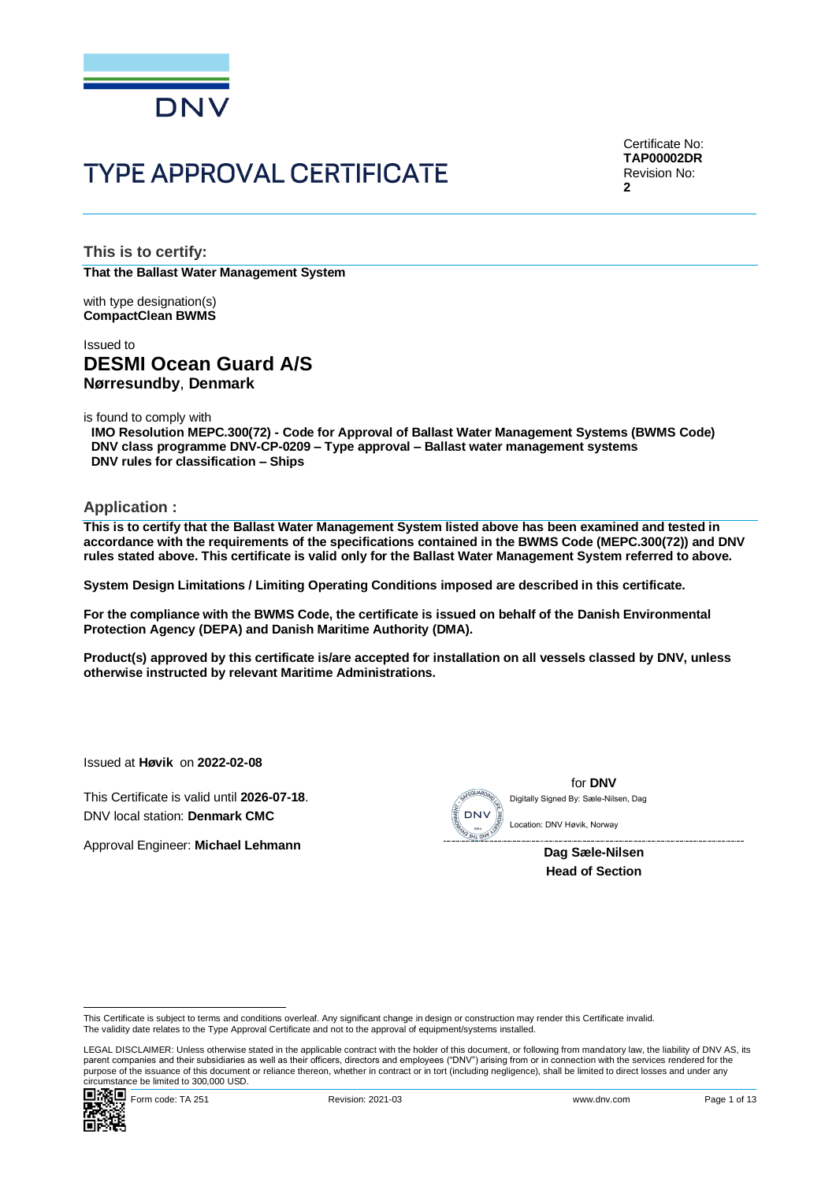

# **TYPE APPROVAL CERTIFICATE**

Certificate No: **TAP00002DR** Revision No: **2**

**This is to certify: That the Ballast Water Management System**

with type designation(s) **CompactClean BWMS**

## Issued to **DESMI Ocean Guard A/S Nørresundby**, **Denmark**

is found to comply with

**IMO Resolution MEPC.300(72) - Code for Approval of Ballast Water Management Systems (BWMS Code) DNV class programme DNV-CP-0209 – Type approval – Ballast water management systems DNV rules for classification – Ships**

#### **Application :**

**This is to certify that the Ballast Water Management System listed above has been examined and tested in accordance with the requirements of the specifications contained in the BWMS Code (MEPC.300(72)) and DNV rules stated above. This certificate is valid only for the Ballast Water Management System referred to above.**

**System Design Limitations / Limiting Operating Conditions imposed are described in this certificate.**

**For the compliance with the BWMS Code, the certificate is issued on behalf of the Danish Environmental Protection Agency (DEPA) and Danish Maritime Authority (DMA).**

**Product(s) approved by this certificate is/are accepted for installation on all vessels classed by DNV, unless otherwise instructed by relevant Maritime Administrations.**

Issued at **Høvik** on **2022-02-08**

This Certificate is valid until **2026-07-18**. DNV local station: **Denmark CMC**

Approval Engineer: **Michael Lehmann**



for **DNV** Digitally Signed By: Sæle-Nilsen, Dag

> **Dag Sæle-Nilsen Head of Section**

LEGAL DISCLAIMER: Unless otherwise stated in the applicable contract with the holder of this document, or following from mandatory law, the liability of DNV AS, its parent companies and their subsidiaries as well as their officers, directors and employees ("DNV") arising from or in connection with the services rendered for the purpose of the issuance of this document or reliance thereon, whether in contract or in tort (including negligence), shall be limited to direct losses and under any circumstance be limited to 300,000 USD.



This Certificate is subject to terms and conditions overleaf. Any significant change in design or construction may render this Certificate invalid.<br>The validity date relates to the Type Approval Certificate and not to the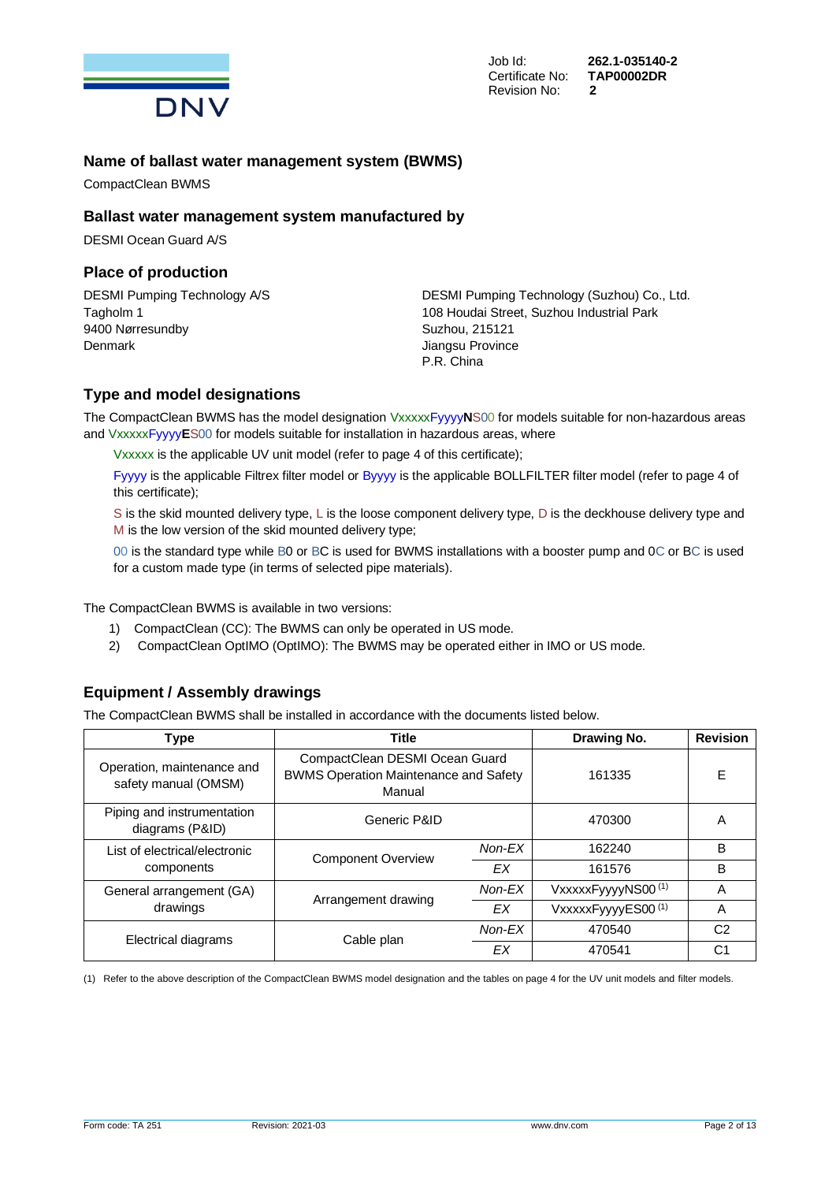

Job Id: **262.1-035140-2**

## **Name of ballast water management system (BWMS)**

CompactClean BWMS

#### **Ballast water management system manufactured by**

DESMI Ocean Guard A/S

#### **Place of production**

9400 Nørresundby Suzhou, 215121 Denmark **Denmark** Jiangsu Province

DESMI Pumping Technology A/S DESMI Pumping Technology (Suzhou) Co., Ltd. Tagholm 1 108 Houdai Street, Suzhou Industrial Park P.R. China

## **Type and model designations**

The CompactClean BWMS has the model designation VxxxxxFyyyy**N**S00 for models suitable for non-hazardous areas and VxxxxxFyyyy**E**S00 for models suitable for installation in hazardous areas, where

Vxxxxx is the applicable UV unit model (refer to page 4 of this certificate);

Fyyyy is the applicable Filtrex filter model or Byyyy is the applicable BOLLFILTER filter model (refer to page 4 of this certificate);

S is the skid mounted delivery type, L is the loose component delivery type, D is the deckhouse delivery type and M is the low version of the skid mounted delivery type;

00 is the standard type while B0 or BC is used for BWMS installations with a booster pump and 0C or BC is used for a custom made type (in terms of selected pipe materials).

The CompactClean BWMS is available in two versions:

- 1) CompactClean (CC): The BWMS can only be operated in US mode.
- 2) CompactClean OptIMO (OptIMO): The BWMS may be operated either in IMO or US mode.

## **Equipment / Assembly drawings**

The CompactClean BWMS shall be installed in accordance with the documents listed below.

| <b>Type</b>                                        | <b>Title</b>                                                                             | Drawing No. | <b>Revision</b>    |                |
|----------------------------------------------------|------------------------------------------------------------------------------------------|-------------|--------------------|----------------|
| Operation, maintenance and<br>safety manual (OMSM) | CompactClean DESMI Ocean Guard<br><b>BWMS Operation Maintenance and Safety</b><br>Manual | 161335      | E                  |                |
| Piping and instrumentation<br>diagrams (P&ID)      | Generic P&ID                                                                             | 470300      | Α                  |                |
| List of electrical/electronic                      | <b>Component Overview</b>                                                                | Non-EX      | 162240             | B              |
| components                                         |                                                                                          | ЕX          | 161576             | B              |
| General arrangement (GA)                           |                                                                                          | Non-EX      | VxxxxxFyyyyNS00(1) | A              |
| drawings                                           | Arrangement drawing<br>ЕX                                                                |             | VxxxxxFyyyyES00(1) | A              |
| Electrical diagrams                                |                                                                                          | Non-EX      | 470540             | C <sub>2</sub> |
|                                                    | Cable plan<br>ЕX                                                                         |             | 470541             | C <sub>1</sub> |

(1) Refer to the above description of the CompactClean BWMS model designation and the tables on page 4 for the UV unit models and filter models.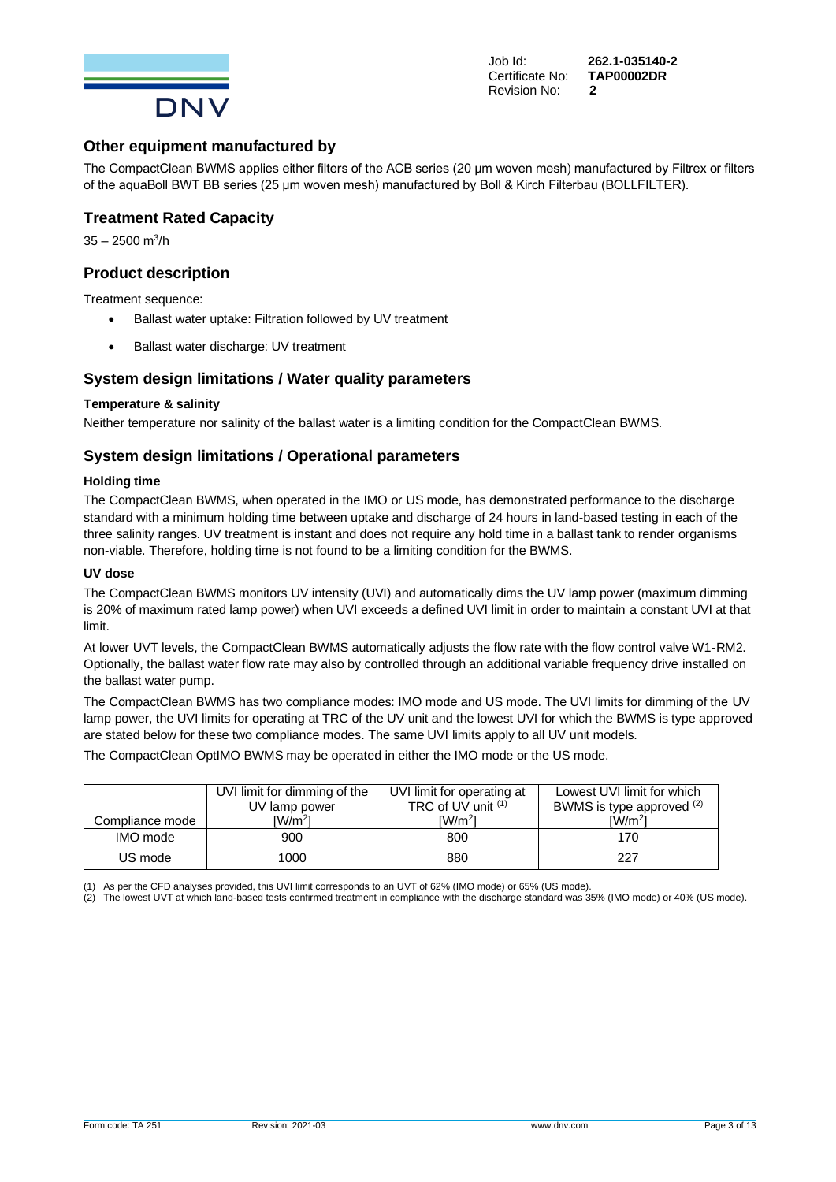

Job Id: **262.1-035140-2**

## **Other equipment manufactured by**

The CompactClean BWMS applies either filters of the ACB series (20 μm woven mesh) manufactured by Filtrex or filters of the aquaBoll BWT BB series (25 μm woven mesh) manufactured by Boll & Kirch Filterbau (BOLLFILTER).

#### **Treatment Rated Capacity**

35 – 2500 m<sup>3</sup>/h

### **Product description**

Treatment sequence:

- Ballast water uptake: Filtration followed by UV treatment
- Ballast water discharge: UV treatment

## **System design limitations / Water quality parameters**

#### **Temperature & salinity**

Neither temperature nor salinity of the ballast water is a limiting condition for the CompactClean BWMS.

#### **System design limitations / Operational parameters**

#### **Holding time**

The CompactClean BWMS, when operated in the IMO or US mode, has demonstrated performance to the discharge standard with a minimum holding time between uptake and discharge of 24 hours in land-based testing in each of the three salinity ranges. UV treatment is instant and does not require any hold time in a ballast tank to render organisms non-viable. Therefore, holding time is not found to be a limiting condition for the BWMS.

#### **UV dose**

The CompactClean BWMS monitors UV intensity (UVI) and automatically dims the UV lamp power (maximum dimming is 20% of maximum rated lamp power) when UVI exceeds a defined UVI limit in order to maintain a constant UVI at that limit.

At lower UVT levels, the CompactClean BWMS automatically adjusts the flow rate with the flow control valve W1-RM2. Optionally, the ballast water flow rate may also by controlled through an additional variable frequency drive installed on the ballast water pump.

The CompactClean BWMS has two compliance modes: IMO mode and US mode. The UVI limits for dimming of the UV lamp power, the UVI limits for operating at TRC of the UV unit and the lowest UVI for which the BWMS is type approved are stated below for these two compliance modes. The same UVI limits apply to all UV unit models.

The CompactClean OptIMO BWMS may be operated in either the IMO mode or the US mode.

|                 | UVI limit for dimming of the<br>UV lamp power | UVI limit for operating at<br>TRC of UV unit (1) | Lowest UVI limit for which<br>BWMS is type approved (2) |  |
|-----------------|-----------------------------------------------|--------------------------------------------------|---------------------------------------------------------|--|
| Compliance mode | $\text{IW/m}^2$                               | IW/m <sup>2</sup>                                | IW/m <sup>2</sup>                                       |  |
| IMO mode        | 900                                           | 800                                              | 170                                                     |  |
| US mode         | 1000                                          | 880                                              | 227                                                     |  |

(1) As per the CFD analyses provided, this UVI limit corresponds to an UVT of 62% (IMO mode) or 65% (US mode).

(2) The lowest UVT at which land-based tests confirmed treatment in compliance with the discharge standard was 35% (IMO mode) or 40% (US mode).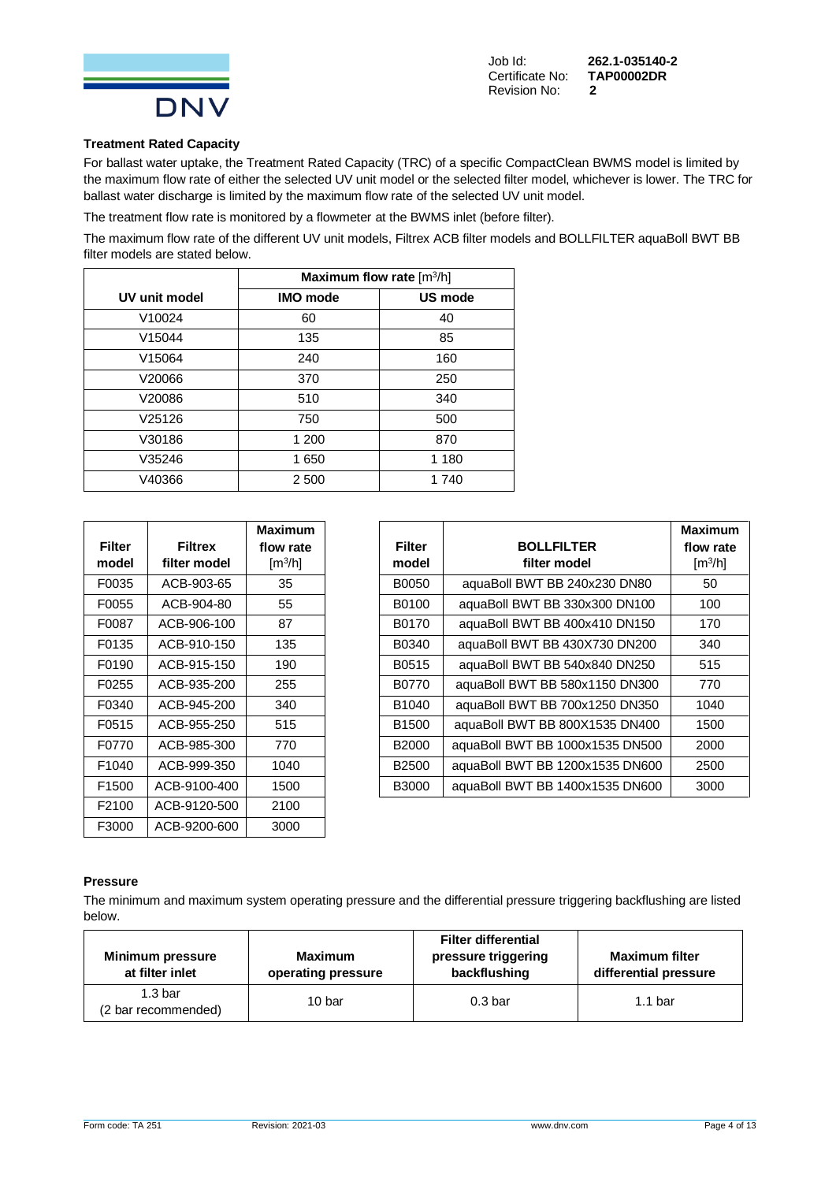

**Certificate No:** Revision No: **2**

## **Treatment Rated Capacity**

For ballast water uptake, the Treatment Rated Capacity (TRC) of a specific CompactClean BWMS model is limited by the maximum flow rate of either the selected UV unit model or the selected filter model, whichever is lower. The TRC for ballast water discharge is limited by the maximum flow rate of the selected UV unit model.

The treatment flow rate is monitored by a flowmeter at the BWMS inlet (before filter).

The maximum flow rate of the different UV unit models, Filtrex ACB filter models and BOLLFILTER aquaBoll BWT BB filter models are stated below.

|                    | Maximum flow rate $\lceil m^3/h \rceil$ |         |  |  |  |
|--------------------|-----------------------------------------|---------|--|--|--|
| UV unit model      | <b>IMO</b> mode                         | US mode |  |  |  |
| V <sub>10024</sub> | 60                                      | 40      |  |  |  |
| V <sub>15044</sub> | 135                                     | 85      |  |  |  |
| V15064             | 240                                     | 160     |  |  |  |
| V20066             | 370                                     | 250     |  |  |  |
| V20086             | 510                                     | 340     |  |  |  |
| V25126             | 750                                     | 500     |  |  |  |
| V30186             | 1 200                                   | 870     |  |  |  |
| V35246             | 1650                                    | 1 1 8 0 |  |  |  |
| V40366             | 2 500                                   | 1740    |  |  |  |

|                   |                | Maximum               |
|-------------------|----------------|-----------------------|
| Filter            | <b>Filtrex</b> | flow rate             |
| model             | filter model   | $\lceil m^3/h \rceil$ |
| F0035             | ACB-903-65     | 35                    |
| F0055             | ACB-904-80     | 55                    |
| F0087             | ACB-906-100    | 87                    |
| F0135             | ACB-910-150    | 135                   |
| F0190             | ACB-915-150    | 190                   |
| F0255             | ACB-935-200    | 255                   |
| F0340             | ACB-945-200    | 340                   |
| F0515             | ACB-955-250    | 515                   |
| F0770             | ACB-985-300    | 770                   |
| F <sub>1040</sub> | ACB-999-350    | 1040                  |
| F <sub>1500</sub> | ACB-9100-400   | 1500                  |
| F2100             | ACB-9120-500   | 2100                  |
| F3000             | ACB-9200-600   | 3000                  |

|               |                | <b>Maximum</b>        |                   |                                 | <b>Maximum</b>               |
|---------------|----------------|-----------------------|-------------------|---------------------------------|------------------------------|
| <b>Filter</b> | <b>Filtrex</b> | flow rate             | <b>Filter</b>     | <b>BOLLFILTER</b>               | flow rate                    |
| model         | filter model   | $\lceil m^3/h \rceil$ | model             | filter model                    | $\left[\frac{m^3}{h}\right]$ |
| F0035         | ACB-903-65     | 35                    | B0050             | aquaBoll BWT BB 240x230 DN80    | 50                           |
| F0055         | ACB-904-80     | 55                    | B0100             | aquaBoll BWT BB 330x300 DN100   | 100                          |
| F0087         | ACB-906-100    | 87                    | B0170             | aquaBoll BWT BB 400x410 DN150   | 170                          |
| F0135         | ACB-910-150    | 135                   | B0340             | aquaBoll BWT BB 430X730 DN200   | 340                          |
| F0190         | ACB-915-150    | 190                   | B0515             | aquaBoll BWT BB 540x840 DN250   | 515                          |
| F0255         | ACB-935-200    | 255                   | B0770             | aquaBoll BWT BB 580x1150 DN300  | 770                          |
| F0340         | ACB-945-200    | 340                   | B <sub>1040</sub> | aquaBoll BWT BB 700x1250 DN350  | 1040                         |
| F0515         | ACB-955-250    | 515                   | B <sub>1500</sub> | aquaBoll BWT BB 800X1535 DN400  | 1500                         |
| F0770         | ACB-985-300    | 770                   | B2000             | aquaBoll BWT BB 1000x1535 DN500 | 2000                         |
| F1040         | ACB-999-350    | 1040                  | B <sub>2500</sub> | aquaBoll BWT BB 1200x1535 DN600 | 2500                         |
| F1500         | ACB-9100-400   | 1500                  | <b>B3000</b>      | aguaBoll BWT BB 1400x1535 DN600 | 3000                         |

#### **Pressure**

The minimum and maximum system operating pressure and the differential pressure triggering backflushing are listed below.

| <b>Minimum pressure</b><br>at filter inlet | <b>Maximum</b><br>operating pressure | <b>Filter differential</b><br>pressure triggering<br>backflushing | <b>Maximum filter</b><br>differential pressure |  |
|--------------------------------------------|--------------------------------------|-------------------------------------------------------------------|------------------------------------------------|--|
| 1.3 <sub>bar</sub><br>(2 bar recommended)  | 10 bar                               | 0.3 <sub>bar</sub>                                                | 1.1 <sub>bar</sub>                             |  |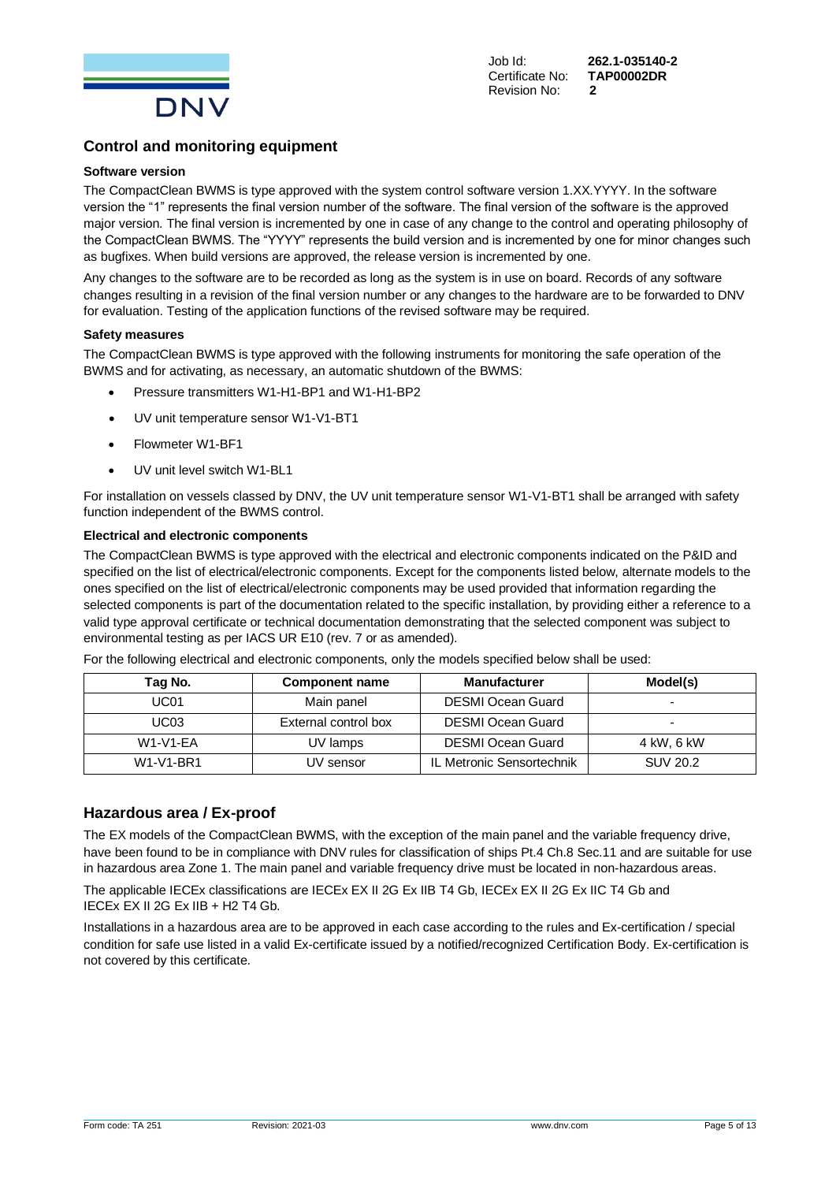

## **Control and monitoring equipment**

#### **Software version**

The CompactClean BWMS is type approved with the system control software version 1.XX.YYYY. In the software version the "1" represents the final version number of the software. The final version of the software is the approved major version. The final version is incremented by one in case of any change to the control and operating philosophy of the CompactClean BWMS. The "YYYY" represents the build version and is incremented by one for minor changes such as bugfixes. When build versions are approved, the release version is incremented by one.

Any changes to the software are to be recorded as long as the system is in use on board. Records of any software changes resulting in a revision of the final version number or any changes to the hardware are to be forwarded to DNV for evaluation. Testing of the application functions of the revised software may be required.

#### **Safety measures**

The CompactClean BWMS is type approved with the following instruments for monitoring the safe operation of the BWMS and for activating, as necessary, an automatic shutdown of the BWMS:

- Pressure transmitters W1-H1-BP1 and W1-H1-BP2
- UV unit temperature sensor W1-V1-BT1
- Flowmeter W1-BF1
- UV unit level switch W1-BL1

For installation on vessels classed by DNV, the UV unit temperature sensor W1-V1-BT1 shall be arranged with safety function independent of the BWMS control.

#### **Electrical and electronic components**

The CompactClean BWMS is type approved with the electrical and electronic components indicated on the P&ID and specified on the list of electrical/electronic components. Except for the components listed below, alternate models to the ones specified on the list of electrical/electronic components may be used provided that information regarding the selected components is part of the documentation related to the specific installation, by providing either a reference to a valid type approval certificate or technical documentation demonstrating that the selected component was subject to environmental testing as per IACS UR E10 (rev. 7 or as amended).

| For the following electrical and electronic components, only the models specified below shall be used: |  |  |
|--------------------------------------------------------------------------------------------------------|--|--|

| Tag No.          | <b>Component name</b> | <b>Manufacturer</b>       | Model(s)        |
|------------------|-----------------------|---------------------------|-----------------|
| UC <sub>01</sub> | Main panel            | <b>DESMI Ocean Guard</b>  | -               |
| UC03             | External control box  | <b>DESMI Ocean Guard</b>  | -               |
| <b>W1-V1-EA</b>  | UV lamps              | <b>DESMI Ocean Guard</b>  | 4 kW, 6 kW      |
| W1-V1-BR1        | UV sensor             | IL Metronic Sensortechnik | <b>SUV 20.2</b> |

#### **Hazardous area / Ex-proof**

The EX models of the CompactClean BWMS, with the exception of the main panel and the variable frequency drive, have been found to be in compliance with DNV rules for classification of ships Pt.4 Ch.8 Sec.11 and are suitable for use in hazardous area Zone 1. The main panel and variable frequency drive must be located in non-hazardous areas.

The applicable IECEx classifications are IECEx EX II 2G Ex IIB T4 Gb, IECEx EX II 2G Ex IIC T4 Gb and IECEx EX II 2G Ex IIB + H2 T4 Gb.

Installations in a hazardous area are to be approved in each case according to the rules and Ex-certification / special condition for safe use listed in a valid Ex-certificate issued by a notified/recognized Certification Body. Ex-certification is not covered by this certificate.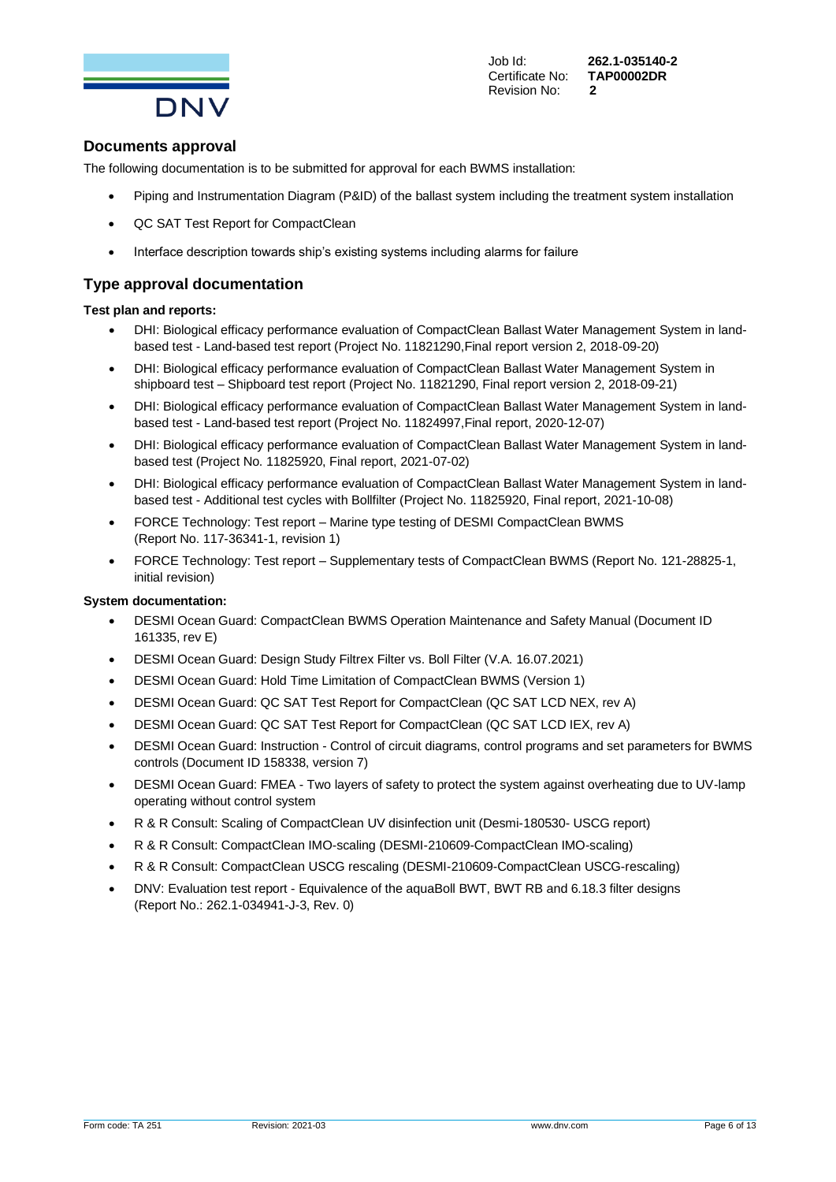

Job Id: **262.1-035140-2**

## **Documents approval**

The following documentation is to be submitted for approval for each BWMS installation:

- Piping and Instrumentation Diagram (P&ID) of the ballast system including the treatment system installation
- QC SAT Test Report for CompactClean
- Interface description towards ship's existing systems including alarms for failure

## **Type approval documentation**

#### **Test plan and reports:**

- DHI: Biological efficacy performance evaluation of CompactClean Ballast Water Management System in landbased test - Land-based test report (Project No. 11821290,Final report version 2, 2018-09-20)
- DHI: Biological efficacy performance evaluation of CompactClean Ballast Water Management System in shipboard test – Shipboard test report (Project No. 11821290, Final report version 2, 2018-09-21)
- DHI: Biological efficacy performance evaluation of CompactClean Ballast Water Management System in landbased test - Land-based test report (Project No. 11824997,Final report, 2020-12-07)
- DHI: Biological efficacy performance evaluation of CompactClean Ballast Water Management System in landbased test (Project No. 11825920, Final report, 2021-07-02)
- DHI: Biological efficacy performance evaluation of CompactClean Ballast Water Management System in landbased test - Additional test cycles with Bollfilter (Project No. 11825920, Final report, 2021-10-08)
- FORCE Technology: Test report Marine type testing of DESMI CompactClean BWMS (Report No. 117-36341-1, revision 1)
- FORCE Technology: Test report Supplementary tests of CompactClean BWMS (Report No. 121-28825-1, initial revision)

#### **System documentation:**

- DESMI Ocean Guard: CompactClean BWMS Operation Maintenance and Safety Manual (Document ID 161335, rev E)
- DESMI Ocean Guard: Design Study Filtrex Filter vs. Boll Filter (V.A. 16.07.2021)
- DESMI Ocean Guard: Hold Time Limitation of CompactClean BWMS (Version 1)
- DESMI Ocean Guard: QC SAT Test Report for CompactClean (QC SAT LCD NEX, rev A)
- DESMI Ocean Guard: QC SAT Test Report for CompactClean (QC SAT LCD IEX, rev A)
- DESMI Ocean Guard: Instruction Control of circuit diagrams, control programs and set parameters for BWMS controls (Document ID 158338, version 7)
- DESMI Ocean Guard: FMEA Two layers of safety to protect the system against overheating due to UV-lamp operating without control system
- R & R Consult: Scaling of CompactClean UV disinfection unit (Desmi-180530- USCG report)
- R & R Consult: CompactClean IMO-scaling (DESMI-210609-CompactClean IMO-scaling)
- R & R Consult: CompactClean USCG rescaling (DESMI-210609-CompactClean USCG-rescaling)
- DNV: Evaluation test report Equivalence of the aquaBoll BWT, BWT RB and 6.18.3 filter designs (Report No.: 262.1-034941-J-3, Rev. 0)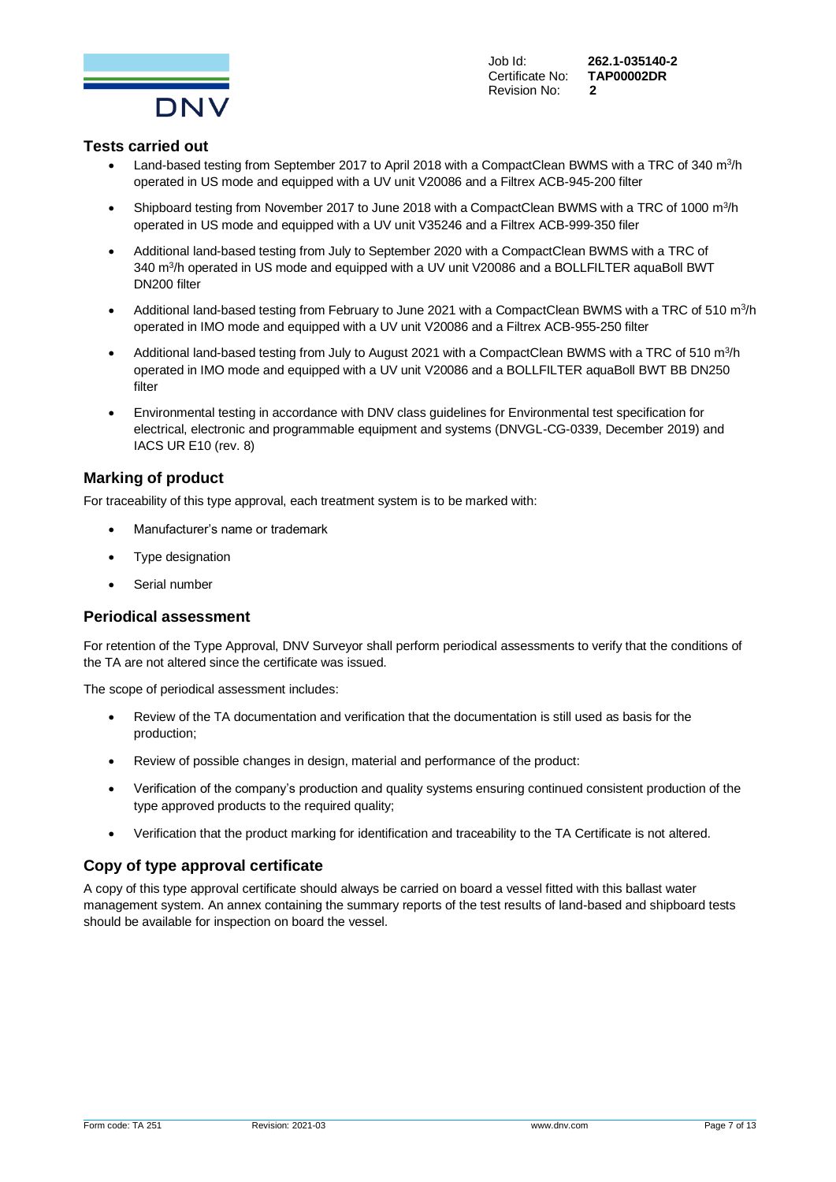

Certificate No: Revision No: **2**

Job Id: **262.1-035140-2**

#### **Tests carried out**

- Land-based testing from September 2017 to April 2018 with a CompactClean BWMS with a TRC of 340  $m^3/h$ operated in US mode and equipped with a UV unit V20086 and a Filtrex ACB-945-200 filter
- Shipboard testing from November 2017 to June 2018 with a CompactClean BWMS with a TRC of 1000  $m^3/h$ operated in US mode and equipped with a UV unit V35246 and a Filtrex ACB-999-350 filer
- Additional land-based testing from July to September 2020 with a CompactClean BWMS with a TRC of 340 m<sup>3</sup>/h operated in US mode and equipped with a UV unit V20086 and a BOLLFILTER aquaBoll BWT DN200 filter
- Additional land-based testing from February to June 2021 with a CompactClean BWMS with a TRC of 510  $m^3/h$ operated in IMO mode and equipped with a UV unit V20086 and a Filtrex ACB-955-250 filter
- Additional land-based testing from July to August 2021 with a CompactClean BWMS with a TRC of 510 m ${}^{3}/h$ operated in IMO mode and equipped with a UV unit V20086 and a BOLLFILTER aquaBoll BWT BB DN250 filter
- Environmental testing in accordance with DNV class guidelines for Environmental test specification for electrical, electronic and programmable equipment and systems (DNVGL-CG-0339, December 2019) and IACS UR E10 (rev. 8)

## **Marking of product**

For traceability of this type approval, each treatment system is to be marked with:

- Manufacturer's name or trademark
- Type designation
- Serial number

#### **Periodical assessment**

For retention of the Type Approval, DNV Surveyor shall perform periodical assessments to verify that the conditions of the TA are not altered since the certificate was issued.

The scope of periodical assessment includes:

- Review of the TA documentation and verification that the documentation is still used as basis for the production;
- Review of possible changes in design, material and performance of the product:
- Verification of the company's production and quality systems ensuring continued consistent production of the type approved products to the required quality;
- Verification that the product marking for identification and traceability to the TA Certificate is not altered.

#### **Copy of type approval certificate**

A copy of this type approval certificate should always be carried on board a vessel fitted with this ballast water management system. An annex containing the summary reports of the test results of land-based and shipboard tests should be available for inspection on board the vessel.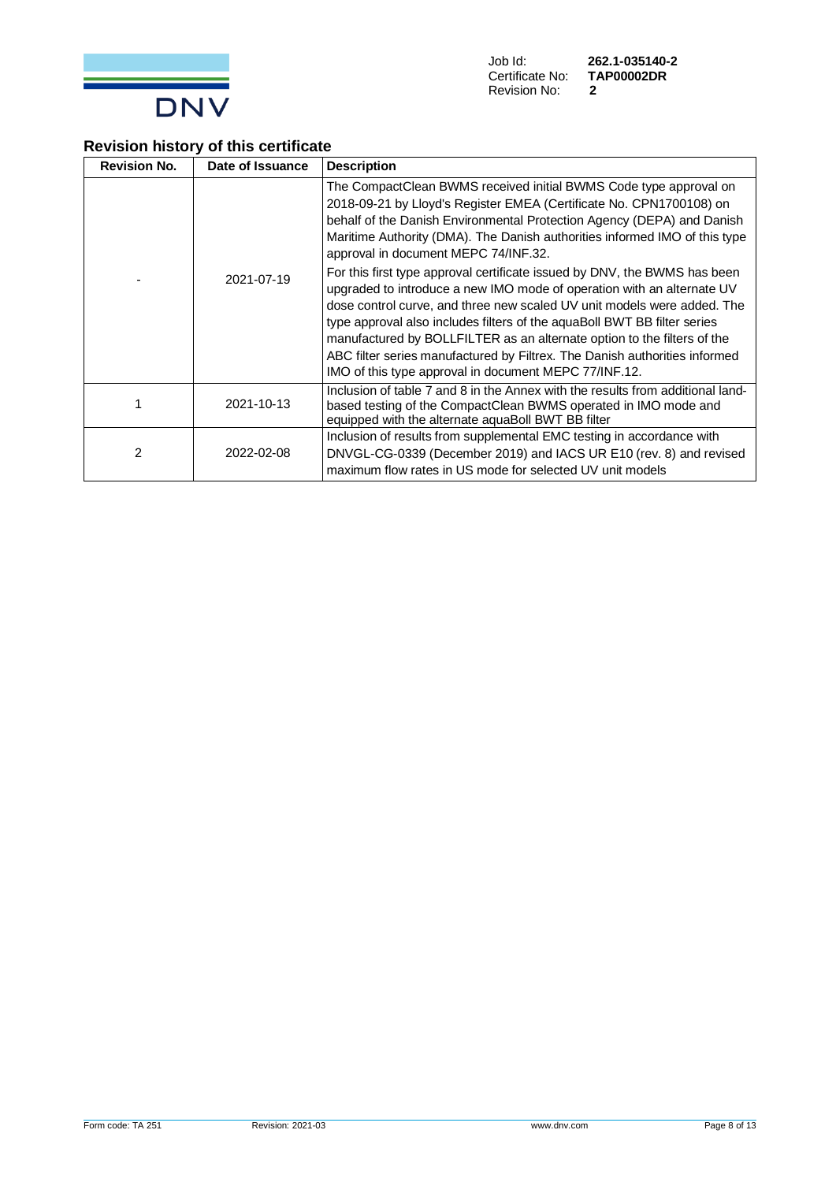

## **Revision history of this certificate**

| <b>Revision No.</b> | Date of Issuance | <b>Description</b>                                                                                                                                                                                                                                                                                                                                                                                                                                                                                                                                                                                                                                                                                                                                                                                                                                                       |
|---------------------|------------------|--------------------------------------------------------------------------------------------------------------------------------------------------------------------------------------------------------------------------------------------------------------------------------------------------------------------------------------------------------------------------------------------------------------------------------------------------------------------------------------------------------------------------------------------------------------------------------------------------------------------------------------------------------------------------------------------------------------------------------------------------------------------------------------------------------------------------------------------------------------------------|
|                     | 2021-07-19       | The CompactClean BWMS received initial BWMS Code type approval on<br>2018-09-21 by Lloyd's Register EMEA (Certificate No. CPN1700108) on<br>behalf of the Danish Environmental Protection Agency (DEPA) and Danish<br>Maritime Authority (DMA). The Danish authorities informed IMO of this type<br>approval in document MEPC 74/INF.32.<br>For this first type approval certificate issued by DNV, the BWMS has been<br>upgraded to introduce a new IMO mode of operation with an alternate UV<br>dose control curve, and three new scaled UV unit models were added. The<br>type approval also includes filters of the aquaBoll BWT BB filter series<br>manufactured by BOLLFILTER as an alternate option to the filters of the<br>ABC filter series manufactured by Filtrex. The Danish authorities informed<br>IMO of this type approval in document MEPC 77/INF.12. |
|                     | 2021-10-13       | Inclusion of table 7 and 8 in the Annex with the results from additional land-<br>based testing of the CompactClean BWMS operated in IMO mode and<br>equipped with the alternate aquaBoll BWT BB filter                                                                                                                                                                                                                                                                                                                                                                                                                                                                                                                                                                                                                                                                  |
| 2                   | 2022-02-08       | Inclusion of results from supplemental EMC testing in accordance with<br>DNVGL-CG-0339 (December 2019) and IACS UR E10 (rev. 8) and revised<br>maximum flow rates in US mode for selected UV unit models                                                                                                                                                                                                                                                                                                                                                                                                                                                                                                                                                                                                                                                                 |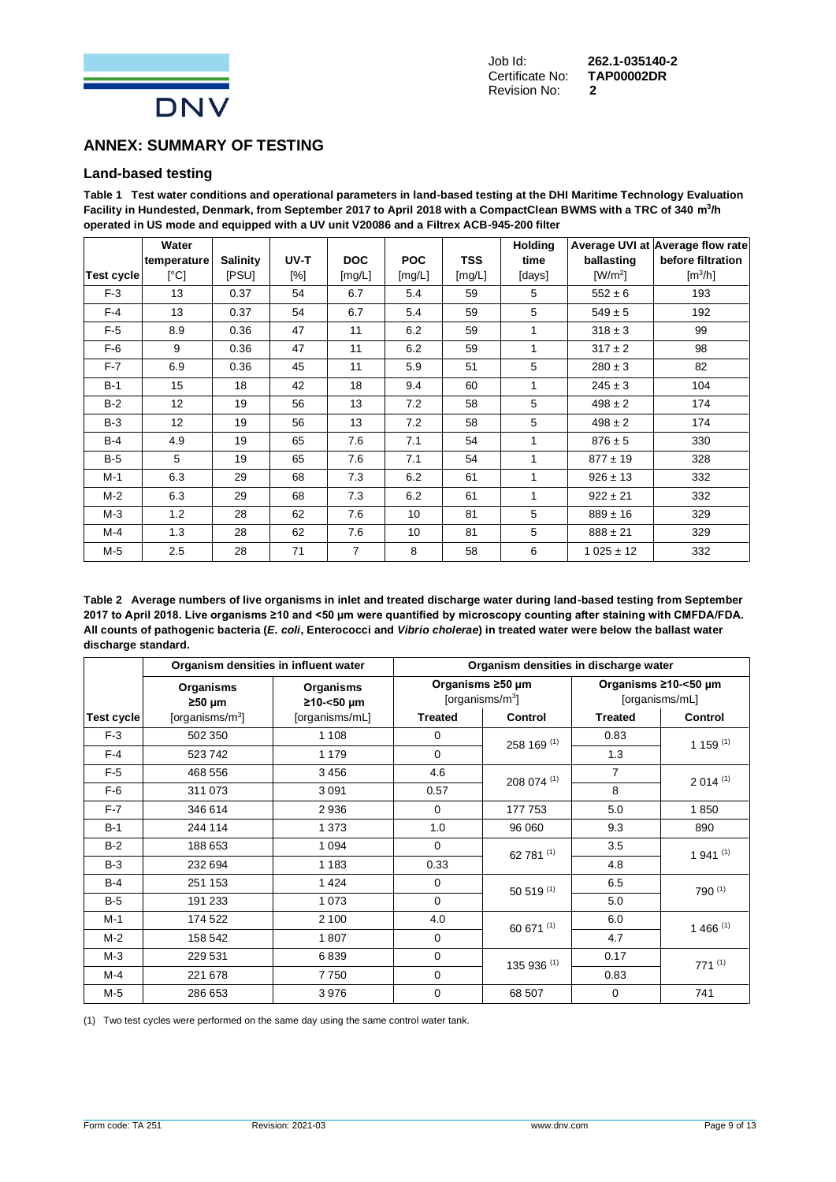

## **ANNEX: SUMMARY OF TESTING**

#### **Land-based testing**

**Table 1 Test water conditions and operational parameters in land-based testing at the DHI Maritime Technology Evaluation Facility in Hundested, Denmark, from September 2017 to April 2018 with a CompactClean BWMS with a TRC of 340 m<sup>3</sup> /h operated in US mode and equipped with a UV unit V20086 and a Filtrex ACB-945-200 filter**

|                   | Water                     |                 |        |                |                 |            | <b>Holding</b> |               | Average UVI at Average flow rate |
|-------------------|---------------------------|-----------------|--------|----------------|-----------------|------------|----------------|---------------|----------------------------------|
|                   | temperature               | <b>Salinity</b> | UV-T   | <b>DOC</b>     | <b>POC</b>      | <b>TSS</b> | time           | ballasting    | before filtration                |
| <b>Test cycle</b> | $\lceil{^{\circ}C}\rceil$ | <b>IPSUI</b>    | $[\%]$ | [mg/L]         | [mg/L]          | [mg/L]     | [days]         | $[W/m^2]$     | $\text{Im}^3/\text{h}$           |
| $F-3$             | 13                        | 0.37            | 54     | 6.7            | 5.4             | 59         | 5              | $552 \pm 6$   | 193                              |
| $F-4$             | 13                        | 0.37            | 54     | 6.7            | 5.4             | 59         | 5              | $549 \pm 5$   | 192                              |
| $F-5$             | 8.9                       | 0.36            | 47     | 11             | 6.2             | 59         | 1              | $318 \pm 3$   | 99                               |
| $F-6$             | 9                         | 0.36            | 47     | 11             | 6.2             | 59         | 1              | $317 \pm 2$   | 98                               |
| $F-7$             | 6.9                       | 0.36            | 45     | 11             | 5.9             | 51         | 5              | $280 \pm 3$   | 82                               |
| $B-1$             | 15                        | 18              | 42     | 18             | 9.4             | 60         | 1              | $245 \pm 3$   | 104                              |
| $B-2$             | 12 <sup>°</sup>           | 19              | 56     | 13             | 7.2             | 58         | 5              | $498 \pm 2$   | 174                              |
| $B-3$             | 12                        | 19              | 56     | 13             | 7.2             | 58         | 5              | $498 \pm 2$   | 174                              |
| $B-4$             | 4.9                       | 19              | 65     | 7.6            | 7.1             | 54         | 1              | $876 \pm 5$   | 330                              |
| $B-5$             | 5                         | 19              | 65     | 7.6            | 7.1             | 54         | $\overline{1}$ | $877 \pm 19$  | 328                              |
| $M-1$             | 6.3                       | 29              | 68     | 7.3            | 6.2             | 61         | 1              | $926 \pm 13$  | 332                              |
| $M-2$             | 6.3                       | 29              | 68     | 7.3            | 6.2             | 61         | 1              | $922 \pm 21$  | 332                              |
| $M-3$             | 1.2                       | 28              | 62     | 7.6            | 10 <sup>1</sup> | 81         | 5              | $889 \pm 16$  | 329                              |
| M-4               | 1.3                       | 28              | 62     | 7.6            | 10              | 81         | 5              | $888 \pm 21$  | 329                              |
| M-5               | 2.5                       | 28              | 71     | $\overline{7}$ | 8               | 58         | 6              | $1025 \pm 12$ | 332                              |

**Table 2 Average numbers of live organisms in inlet and treated discharge water during land-based testing from September 2017 to April 2018. Live organisms ≥10 and <50 µm were quantified by microscopy counting after staining with CMFDA/FDA. All counts of pathogenic bacteria (***E. coli***, Enterococci and** *Vibrio cholerae***) in treated water were below the ballast water discharge standard.**

|            | Organism densities in influent water | Organism densities in discharge water |                |                                         |                                        |              |  |
|------------|--------------------------------------|---------------------------------------|----------------|-----------------------------------------|----------------------------------------|--------------|--|
|            | Organisms<br>$250 \mu m$             | Organisms<br>≥10-<50 µm               |                | Organisms ≥50 µm<br>[organisms/ $m^3$ ] | Organisms ≥10-<50 µm<br>[organisms/mL] |              |  |
| Test cycle | [organisms/ $m^3$ ]                  | [organisms/mL]                        | <b>Treated</b> | <b>Control</b>                          | <b>Treated</b>                         | Control      |  |
| $F-3$      | 502 350                              | 1 1 0 8                               | $\mathbf 0$    | 258 169 (1)                             | 0.83                                   | 1 1 5 $(1)$  |  |
| $F-4$      | 523742                               | 1 1 7 9                               | $\mathbf 0$    |                                         | 1.3                                    |              |  |
| $F-5$      | 468 556                              | 3456                                  | 4.6            | 208 074 (1)                             | $\overline{7}$                         | $2014^{(1)}$ |  |
| $F-6$      | 311 073                              | 3 0 9 1                               | 0.57           |                                         | 8                                      |              |  |
| $F-7$      | 346 614                              | 2936                                  | $\Omega$       | 177 753                                 | 5.0                                    | 1850         |  |
| $B-1$      | 244 114                              | 1 3 7 3                               | 1.0            | 96 060                                  | 9.3                                    | 890          |  |
| $B-2$      | 188 653                              | 1 0 9 4                               | $\Omega$       | 62 781 (1)                              | 3.5                                    | $1941^{(1)}$ |  |
| $B-3$      | 232 694                              | 1 1 8 3                               | 0.33           |                                         | 4.8                                    |              |  |
| $B-4$      | 251 153                              | 1424                                  | $\Omega$       | $50519^{(1)}$                           | 6.5                                    | 790 (1)      |  |
| $B-5$      | 191 233                              | 1073                                  | $\Omega$       |                                         | 5.0                                    |              |  |
| $M-1$      | 174 522                              | 2 100                                 | 4.0            | 60 671 (1)                              | 6.0                                    | $1466^{(1)}$ |  |
| $M-2$      | 158 542                              | 1807                                  | $\Omega$       |                                         | 4.7                                    |              |  |
| $M-3$      | 229 531                              | 6839                                  | $\mathbf 0$    | 135 936 (1)                             | 0.17                                   | $771^{(1)}$  |  |
| M-4        | 221 678                              | 7750                                  | $\mathbf 0$    |                                         | 0.83                                   |              |  |
| $M-5$      | 286 653                              | 3976                                  | $\mathbf 0$    | 68 507                                  | 0                                      | 741          |  |

(1) Two test cycles were performed on the same day using the same control water tank.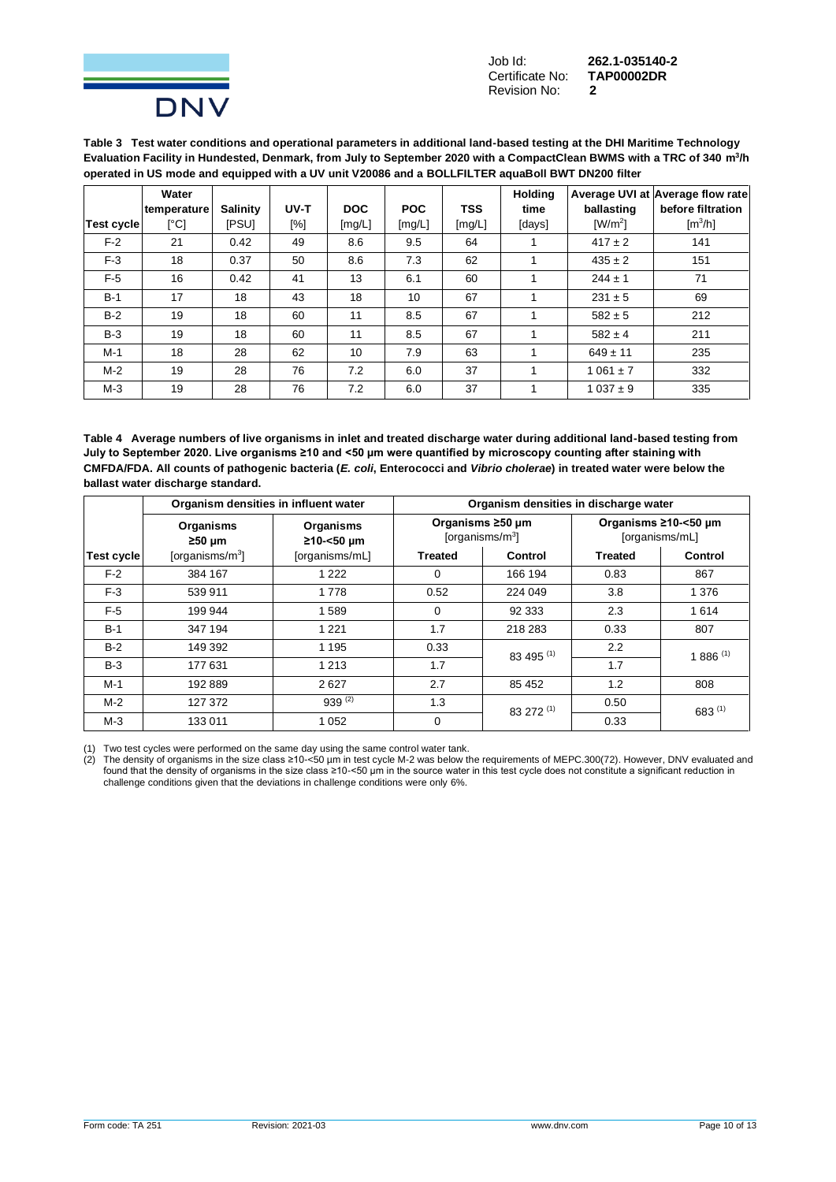

Job Id: **262.1-035140-2 Certificate No:** Revision No: **2**

**Table 3 Test water conditions and operational parameters in additional land-based testing at the DHI Maritime Technology Evaluation Facility in Hundested, Denmark, from July to September 2020 with a CompactClean BWMS with a TRC of 340 m<sup>3</sup> /h operated in US mode and equipped with a UV unit V20086 and a BOLLFILTER aquaBoll BWT DN200 filter**

|            | Water       |                 |      |            |            |            | Holding |                              | Average UVI at Average flow rate |
|------------|-------------|-----------------|------|------------|------------|------------|---------|------------------------------|----------------------------------|
|            | temperature | <b>Salinity</b> | UV-T | <b>DOC</b> | <b>POC</b> | <b>TSS</b> | time    | ballasting                   | before filtration                |
| Test cycle | [°C]        | <b>IPSUI</b>    | [%]  | [mg/L]     | [mg/L]     | [mg/L]     | [days]  | $\left[\frac{W}{m^2}\right]$ | [m <sup>3</sup> /h]              |
| $F-2$      | 21          | 0.42            | 49   | 8.6        | 9.5        | 64         |         | $417 \pm 2$                  | 141                              |
| $F-3$      | 18          | 0.37            | 50   | 8.6        | 7.3        | 62         |         | $435 \pm 2$                  | 151                              |
| $F-5$      | 16          | 0.42            | 41   | 13         | 6.1        | 60         |         | $244 \pm 1$                  | 71                               |
| $B-1$      | 17          | 18              | 43   | 18         | 10         | 67         |         | $231 \pm 5$                  | 69                               |
| $B-2$      | 19          | 18              | 60   | 11         | 8.5        | 67         |         | $582 \pm 5$                  | 212                              |
| $B-3$      | 19          | 18              | 60   | 11         | 8.5        | 67         |         | $582 \pm 4$                  | 211                              |
| $M-1$      | 18          | 28              | 62   | 10         | 7.9        | 63         |         | $649 \pm 11$                 | 235                              |
| $M-2$      | 19          | 28              | 76   | 7.2        | 6.0        | 37         |         | $1061 \pm 7$                 | 332                              |
| $M-3$      | 19          | 28              | 76   | 7.2        | 6.0        | 37         |         | $1037 \pm 9$                 | 335                              |

**Table 4 Average numbers of live organisms in inlet and treated discharge water during additional land-based testing from July to September 2020. Live organisms ≥10 and <50 µm were quantified by microscopy counting after staining with CMFDA/FDA. All counts of pathogenic bacteria (***E. coli***, Enterococci and** *Vibrio cholerae***) in treated water were below the ballast water discharge standard.**

|            | Organism densities in influent water |                         |                | Organism densities in discharge water   |                                        |                |
|------------|--------------------------------------|-------------------------|----------------|-----------------------------------------|----------------------------------------|----------------|
|            | Organisms<br>$\geq 50 \mu m$         | Organisms<br>≥10-<50 µm |                | Organisms ≥50 µm<br>[organisms/ $m^3$ ] | Organisms ≥10-<50 µm<br>[organisms/mL] |                |
| Test cycle | [organisms/ $m^3$ ]                  | [organisms/mL]          | <b>Treated</b> | Control                                 | <b>Treated</b>                         | <b>Control</b> |
| $F-2$      | 384 167                              | 1 2 2 2                 | $\Omega$       | 166 194                                 | 0.83                                   | 867            |
| $F-3$      | 539 911                              | 1778                    | 0.52           | 224 049                                 | 3.8                                    | 1 3 7 6        |
| $F-5$      | 199 944                              | 1589                    | $\Omega$       | 92 333                                  | 2.3                                    | 1614           |
| $B-1$      | 347 194                              | 1 2 2 1                 | 1.7            | 218 283                                 | 0.33                                   | 807            |
| $B-2$      | 149 392                              | 1 1 9 5                 | 0.33           | 83 495 (1)                              | $2.2\phantom{0}$                       | $1886^{(1)}$   |
| $B-3$      | 177 631                              | 1 2 1 3                 | 1.7            |                                         | 1.7                                    |                |
| $M-1$      | 192889                               | 2627                    | 2.7            | 85 452                                  | 1.2                                    | 808            |
| $M-2$      | 127 372                              | $939^{(2)}$             | 1.3            | 83 272 (1)                              | 0.50                                   | $683^{(1)}$    |
| $M-3$      | 133 011                              | 1 0 5 2                 | $\mathbf 0$    |                                         | 0.33                                   |                |

(1) Two test cycles were performed on the same day using the same control water tank.

(2) The density of organisms in the size class ≥10-<50 µm in test cycle M-2 was below the requirements of MEPC.300(72). However, DNV evaluated and found that the density of organisms in the size class ≥10-<50 μm in the source water in this test cycle does not constitute a significant reduction in challenge conditions given that the deviations in challenge conditions were only 6%.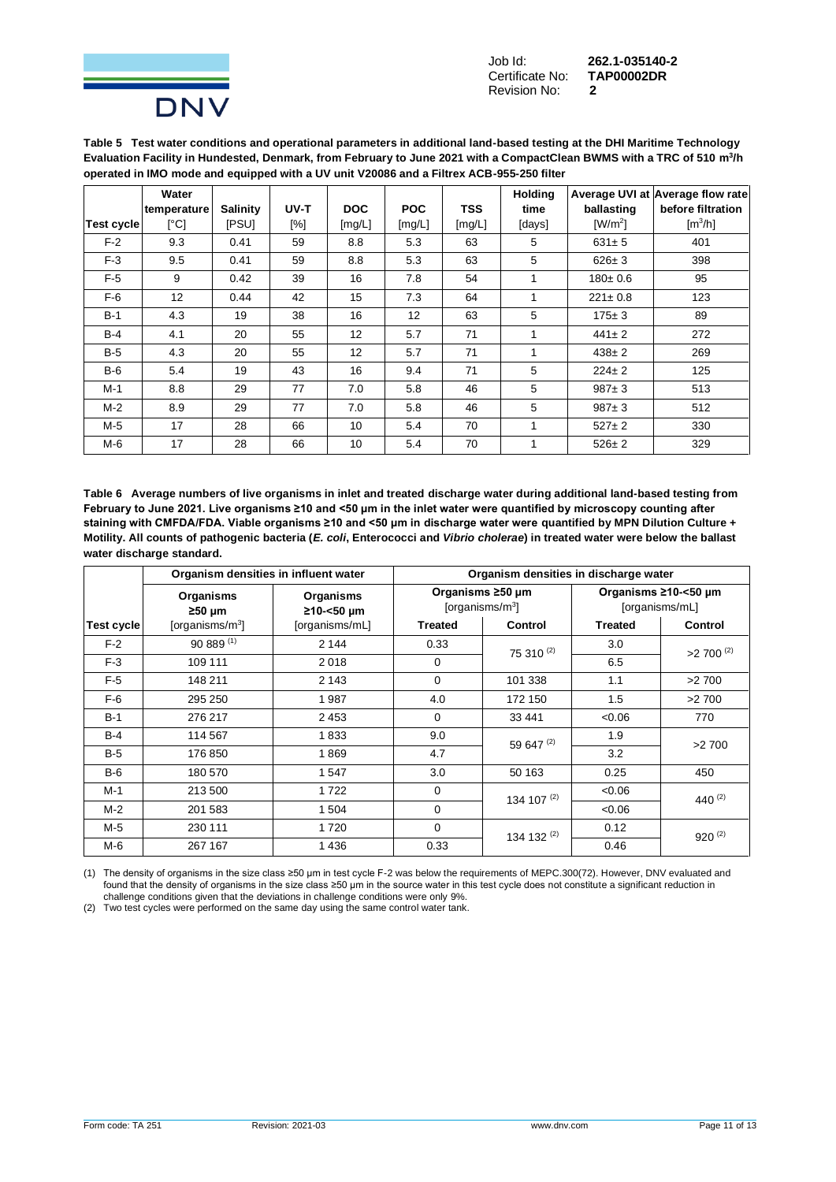

Job Id: **262.1-035140-2 Certificate No:** Revision No: **2**

**Table 5 Test water conditions and operational parameters in additional land-based testing at the DHI Maritime Technology Evaluation Facility in Hundested, Denmark, from February to June 2021 with a CompactClean BWMS with a TRC of 510 m<sup>3</sup> /h operated in IMO mode and equipped with a UV unit V20086 and a Filtrex ACB-955-250 filter**

|            | Water       |                 |      |            |            |            | <b>Holding</b> |               | Average UVI at Average flow rate |
|------------|-------------|-----------------|------|------------|------------|------------|----------------|---------------|----------------------------------|
|            | temperature | <b>Salinity</b> | UV-T | <b>DOC</b> | <b>POC</b> | <b>TSS</b> | time           | ballasting    | before filtration                |
| Test cycle | [°C]        | <b>IPSUI</b>    | [%]  | [mg/L]     | [mg/L]     | [mg/L]     | [days]         | $[W/m^2]$     | $\text{Im}^3/\text{h}$           |
| $F-2$      | 9.3         | 0.41            | 59   | 8.8        | 5.3        | 63         | 5              | $631 \pm 5$   | 401                              |
| $F-3$      | 9.5         | 0.41            | 59   | 8.8        | 5.3        | 63         | 5              | $626 \pm 3$   | 398                              |
| $F-5$      | 9           | 0.42            | 39   | 16         | 7.8        | 54         | 1              | $180 + 0.6$   | 95                               |
| $F-6$      | 12          | 0.44            | 42   | 15         | 7.3        | 64         | 1              | $221 \pm 0.8$ | 123                              |
| $B-1$      | 4.3         | 19              | 38   | 16         | 12         | 63         | 5              | $175 \pm 3$   | 89                               |
| $B-4$      | 4.1         | 20              | 55   | 12         | 5.7        | 71         | 1              | $441 \pm 2$   | 272                              |
| $B-5$      | 4.3         | 20              | 55   | 12         | 5.7        | 71         | 1              | $438 \pm 2$   | 269                              |
| $B-6$      | 5.4         | 19              | 43   | 16         | 9.4        | 71         | 5              | $224 \pm 2$   | 125                              |
| $M-1$      | 8.8         | 29              | 77   | 7.0        | 5.8        | 46         | 5              | $987 + 3$     | 513                              |
| M-2        | 8.9         | 29              | 77   | 7.0        | 5.8        | 46         | 5              | $987 + 3$     | 512                              |
| M-5        | 17          | 28              | 66   | 10         | 5.4        | 70         | 1              | $527 \pm 2$   | 330                              |
| M-6        | 17          | 28              | 66   | 10         | 5.4        | 70         | 1              | $526 \pm 2$   | 329                              |

**Table 6 Average numbers of live organisms in inlet and treated discharge water during additional land-based testing from February to June 2021. Live organisms ≥10 and <50 µm in the inlet water were quantified by microscopy counting after staining with CMFDA/FDA. Viable organisms ≥10 and <50 µm in discharge water were quantified by MPN Dilution Culture + Motility. All counts of pathogenic bacteria (***E. coli***, Enterococci and** *Vibrio cholerae***) in treated water were below the ballast water discharge standard.**

|            | Organism densities in influent water |                         | Organism densities in discharge water |                                                 |                                        |                         |  |  |
|------------|--------------------------------------|-------------------------|---------------------------------------|-------------------------------------------------|----------------------------------------|-------------------------|--|--|
|            | <b>Organisms</b><br>$\geq 50 \mu m$  | Organisms<br>≥10-<50 µm |                                       | Organisms ≥50 µm<br>[organisms/m <sup>3</sup> ] | Organisms ≥10-<50 µm<br>[organisms/mL] |                         |  |  |
| Test cycle | [organisms/ $m^3$ ]                  | [organisms/mL]          | <b>Treated</b>                        | Control                                         | <b>Treated</b>                         | Control                 |  |  |
| $F-2$      | $90889^{(1)}$                        | 2 1 4 4                 | 0.33                                  | $75310^{(2)}$                                   | 3.0                                    | $>2$ 700 <sup>(2)</sup> |  |  |
| $F-3$      | 109 111                              | 2018                    | $\mathbf 0$                           |                                                 | 6.5                                    |                         |  |  |
| $F-5$      | 148 211                              | 2 1 4 3                 | $\Omega$                              | 101 338                                         | 1.1                                    | >2700                   |  |  |
| $F-6$      | 295 250                              | 1987                    | 4.0                                   | 172 150                                         | 1.5                                    | >2700                   |  |  |
| $B-1$      | 276 217                              | 2453                    | $\mathbf 0$                           | 33 441                                          | < 0.06                                 | 770                     |  |  |
| $B-4$      | 114 567                              | 1833                    | 9.0                                   | 59 647 (2)                                      | 1.9                                    | >2700                   |  |  |
| $B-5$      | 176 850                              | 1869                    | 4.7                                   |                                                 | 3.2                                    |                         |  |  |
| $B-6$      | 180 570                              | 1547                    | 3.0                                   | 50 163                                          | 0.25                                   | 450                     |  |  |
| $M-1$      | 213 500                              | 1722                    | $\Omega$                              | 134 107 $(2)$                                   | <0.06                                  | 440 $(2)$               |  |  |
| $M-2$      | 201 583                              | 1 504                   | $\mathbf 0$                           |                                                 | < 0.06                                 |                         |  |  |
| M-5        | 230 111                              | 1720                    | $\Omega$                              | 134 132 (2)                                     | 0.12                                   | $920^{(2)}$             |  |  |
| $M-6$      | 267 167                              | 1436                    | 0.33                                  |                                                 | 0.46                                   |                         |  |  |

(1) The density of organisms in the size class ≥50 µm in test cycle F-2 was below the requirements of MEPC.300(72). However, DNV evaluated and found that the density of organisms in the size class ≥50 μm in the source water in this test cycle does not constitute a significant reduction in challenge conditions given that the deviations in challenge conditions were only 9%.

(2) Two test cycles were performed on the same day using the same control water tank.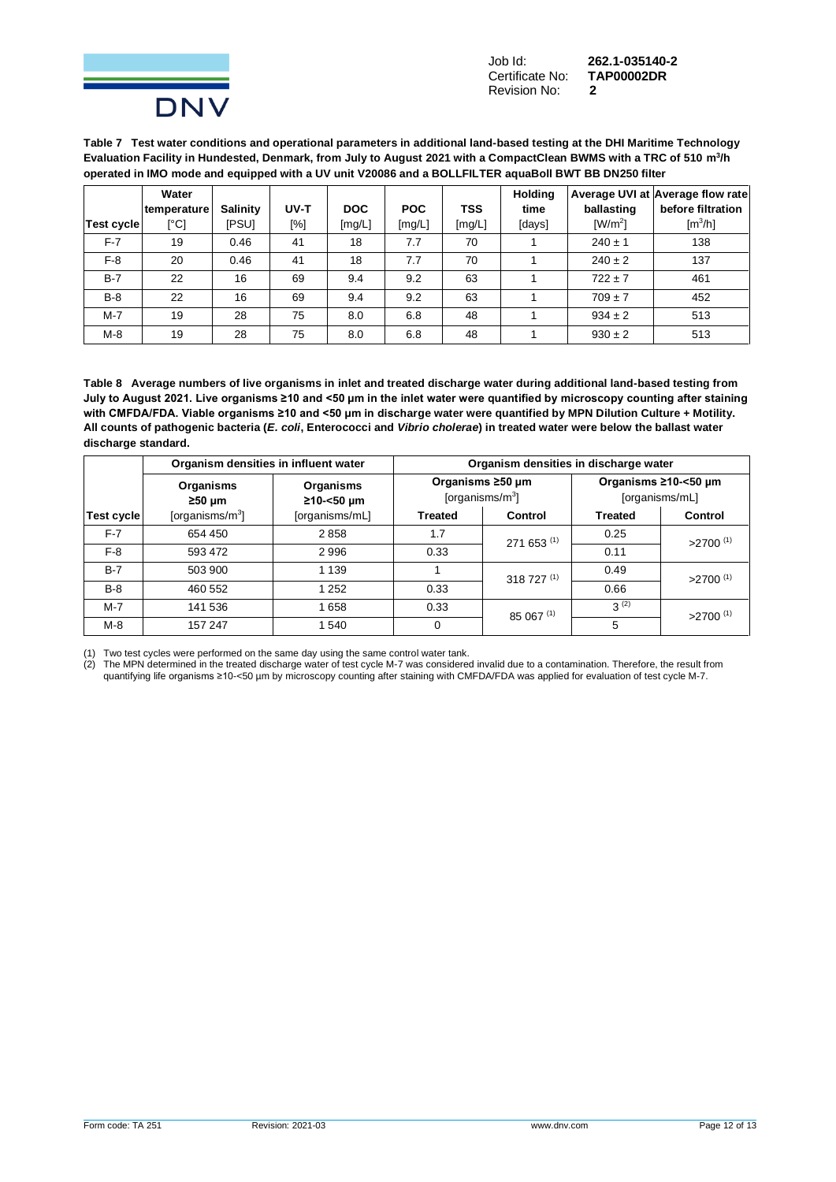

Job Id: **262.1-035140-2 Certificate No:** Revision No: **2**

**Table 7 Test water conditions and operational parameters in additional land-based testing at the DHI Maritime Technology Evaluation Facility in Hundested, Denmark, from July to August 2021 with a CompactClean BWMS with a TRC of 510 m<sup>3</sup> /h operated in IMO mode and equipped with a UV unit V20086 and a BOLLFILTER aquaBoll BWT BB DN250 filter**

|            | Water       |                 |      |            |            |            | <b>Holding</b> |                       | Average UVI at Average flow rate |
|------------|-------------|-----------------|------|------------|------------|------------|----------------|-----------------------|----------------------------------|
|            | temperature | <b>Salinity</b> | UV-T | <b>DOC</b> | <b>POC</b> | <b>TSS</b> | time           | ballasting            | before filtration                |
| Test cycle | [°C]        | ipsui           | [%]  | [mg/L]     | [mg/L]     | [mg/L]     | [days]         | $\lceil W/m^2 \rceil$ | $\text{Im}^3/\text{h}$           |
| $F-7$      | 19          | 0.46            | 41   | 18         | 7.7        | 70         |                | $240 \pm 1$           | 138                              |
| $F-8$      | 20          | 0.46            | 41   | 18         | 7.7        | 70         |                | $240 \pm 2$           | 137                              |
| $B-7$      | 22          | 16              | 69   | 9.4        | 9.2        | 63         |                | $722 \pm 7$           | 461                              |
| $B-8$      | 22          | 16              | 69   | 9.4        | 9.2        | 63         |                | $709 \pm 7$           | 452                              |
| $M - 7$    | 19          | 28              | 75   | 8.0        | 6.8        | 48         |                | $934 \pm 2$           | 513                              |
| $M-8$      | 19          | 28              | 75   | 8.0        | 6.8        | 48         |                | $930 \pm 2$           | 513                              |

**Table 8 Average numbers of live organisms in inlet and treated discharge water during additional land-based testing from July to August 2021. Live organisms ≥10 and <50 µm in the inlet water were quantified by microscopy counting after staining with CMFDA/FDA. Viable organisms ≥10 and <50 µm in discharge water were quantified by MPN Dilution Culture + Motility. All counts of pathogenic bacteria (***E. coli***, Enterococci and** *Vibrio cholerae***) in treated water were below the ballast water discharge standard.**

|            | Organism densities in influent water |                         |                | Organism densities in discharge water   |                |                                        |  |  |
|------------|--------------------------------------|-------------------------|----------------|-----------------------------------------|----------------|----------------------------------------|--|--|
|            | Organisms<br>$≥50 \mu m$             | Organisms<br>≥10-<50 µm |                | Organisms ≥50 µm<br>[organisms/ $m^3$ ] |                | Organisms ≥10-<50 µm<br>[organisms/mL] |  |  |
| Test cycle | [organisms/ $m^3$ ]                  | [organisms/mL]          | <b>Treated</b> | Control                                 | <b>Treated</b> | <b>Control</b>                         |  |  |
| $F-7$      | 654 450                              | 2858                    | 1.7            | 271 653 (1)                             | 0.25           | $>2700$ <sup>(1)</sup>                 |  |  |
| $F-8$      | 593 472                              | 2996                    | 0.33           |                                         | 0.11           |                                        |  |  |
| $B-7$      | 503 900                              | 1 1 3 9                 |                | $318727^{(1)}$                          | 0.49           | $>2700$ <sup>(1)</sup>                 |  |  |
| $B-8$      | 460 552                              | 1 2 5 2                 | 0.33           |                                         | 0.66           |                                        |  |  |
| $M-7$      | 141 536                              | 1658                    | 0.33           | 85 067 (1)                              | $3^{(2)}$      | $>2700$ <sup>(1)</sup>                 |  |  |
| $M-8$      | 157 247                              | 1 540                   | $\Omega$       |                                         | 5              |                                        |  |  |

(1) Two test cycles were performed on the same day using the same control water tank.

(2) The MPN determined in the treated discharge water of test cycle M-7 was considered invalid due to a contamination. Therefore, the result from quantifying life organisms ≥10-<50 µm by microscopy counting after staining with CMFDA/FDA was applied for evaluation of test cycle M-7.